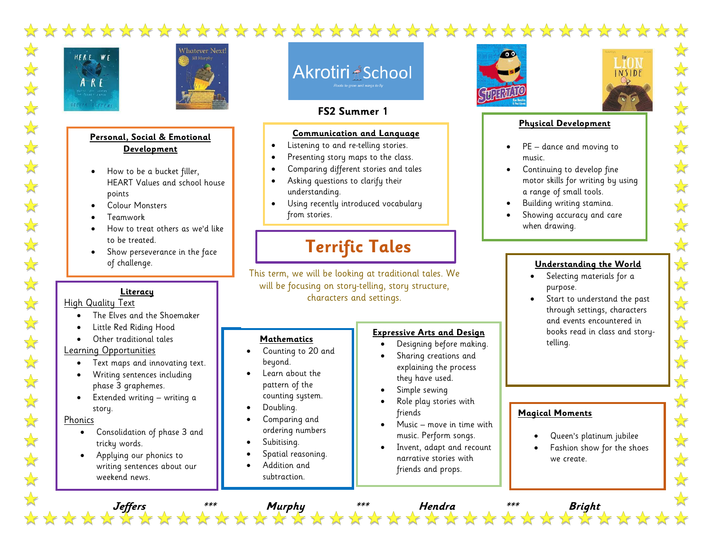



#### **Personal, Social & Emotional Development**

- How to be a bucket filler, HEART Values and school house points
- Colour Monsters
- Teamwork
- How to treat others as we'd like to be treated.
- Show perseverance in the face of challenge.

#### **Literacy**

#### High Quality Text

- The Elves and the Shoemaker
- Little Red Riding Hood
- Other traditional tales

#### Learning Opportunities

- Text maps and innovating text.
- Writing sentences including phase 3 graphemes.
- Extended writing writing a story.

**Phonics** 

- Consolidation of phase 3 and tricky words.
- Applying our phonics to writing sentences about our weekend news.

# Akrotiri <u>A</u>School

### **FS2 Summer 1**

#### **Communication and Language**

- Listening to and re-telling stories.
- Presenting story maps to the class.
- Comparing different stories and tales
- Asking questions to clarify their understanding.
- Using recently introduced vocabulary from stories.

## **Terrific Tales**

This term, we will be looking at traditional tales. We will be focusing on story-telling, story structure, characters and settings.

**Jeffers \*\*\* Murphy \*\*\* Hendra \*\*\* Bright**

#### **Mathematics**

- Counting to 20 and beyond.
- Learn about the pattern of the counting system.
- Doubling.
- Comparing and ordering numbers
- Subitising.
- Spatial reasoning.
- Addition and subtraction.  $\mathcal{S}^{\text{max}}_{\text{max}}$  and  $\mathcal{S}^{\text{max}}_{\text{max}}$  and  $\mathcal{S}^{\text{max}}_{\text{max}}$

comparing.

#### **Expressive Arts and Design**

- Designing before making.
- Sharing creations and explaining the process they have used.
- Simple sewing
- Role play stories with friends
- Music move in time with music. Perform songs.
- Invent, adapt and recount narrative stories with friends and props.





#### **Physical Development**

- PE dance and moving to music.
- Continuing to develop fine motor skills for writing by using a range of small tools.
- Building writing stamina.
- Showing accuracy and care when drawing.

#### **Understanding the World**

- Selecting materials for a purpose.
- Start to understand the past through settings, characters and events encountered in books read in class and storytelling.

**Magical Moments**

- Queen's platinum jubilee
- Fashion show for the shoes we create.
- 

\*\*\*\*\*

 $\frac{1}{\sqrt{2}}$ 

 $\frac{1}{\sqrt{2}}$ 

 $\frac{1}{2}$ 

 $\frac{1}{2}$ 

 $\sqrt{\sqrt{\sqrt{3}}}$ 

 $\frac{1}{\sqrt{2}}$ 

 $\frac{1}{\sqrt{2}}$ 

计计

 $\Rightarrow$